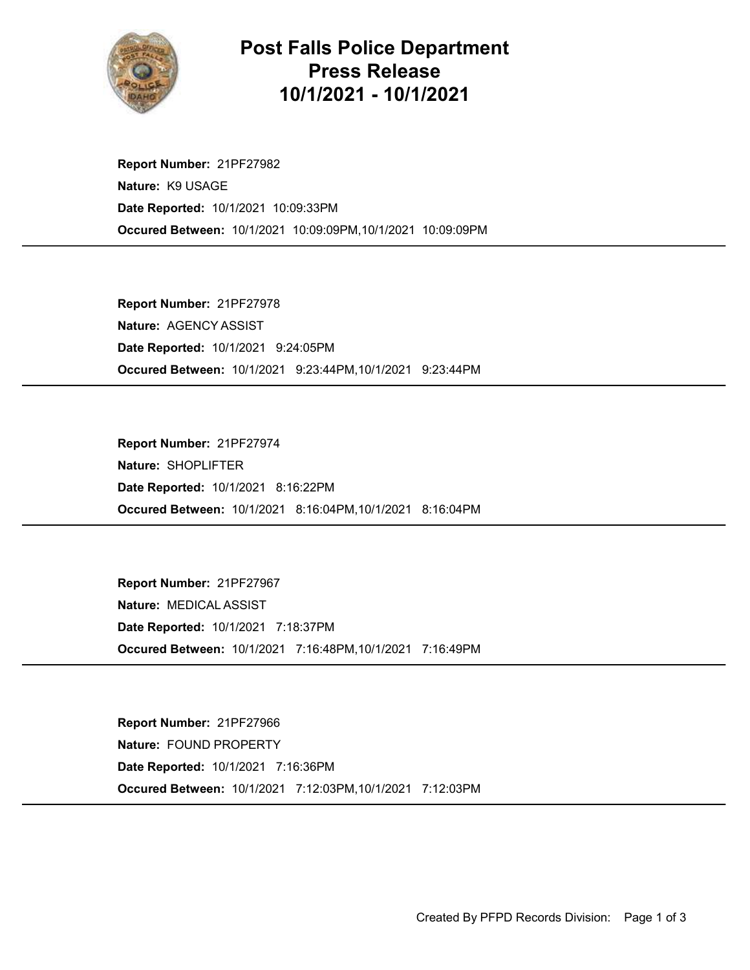

## Post Falls Police Department Press Release 10/1/2021 - 10/1/2021

Occured Between: 10/1/2021 10:09:09PM,10/1/2021 10:09:09PM Report Number: 21PF27982 Nature: K9 USAGE Date Reported: 10/1/2021 10:09:33PM

Occured Between: 10/1/2021 9:23:44PM,10/1/2021 9:23:44PM Report Number: 21PF27978 Nature: AGENCY ASSIST Date Reported: 10/1/2021 9:24:05PM

Occured Between: 10/1/2021 8:16:04PM,10/1/2021 8:16:04PM Report Number: 21PF27974 Nature: SHOPLIFTER Date Reported: 10/1/2021 8:16:22PM

Occured Between: 10/1/2021 7:16:48PM,10/1/2021 7:16:49PM Report Number: 21PF27967 Nature: MEDICAL ASSIST Date Reported: 10/1/2021 7:18:37PM

Occured Between: 10/1/2021 7:12:03PM,10/1/2021 7:12:03PM Report Number: 21PF27966 Nature: FOUND PROPERTY Date Reported: 10/1/2021 7:16:36PM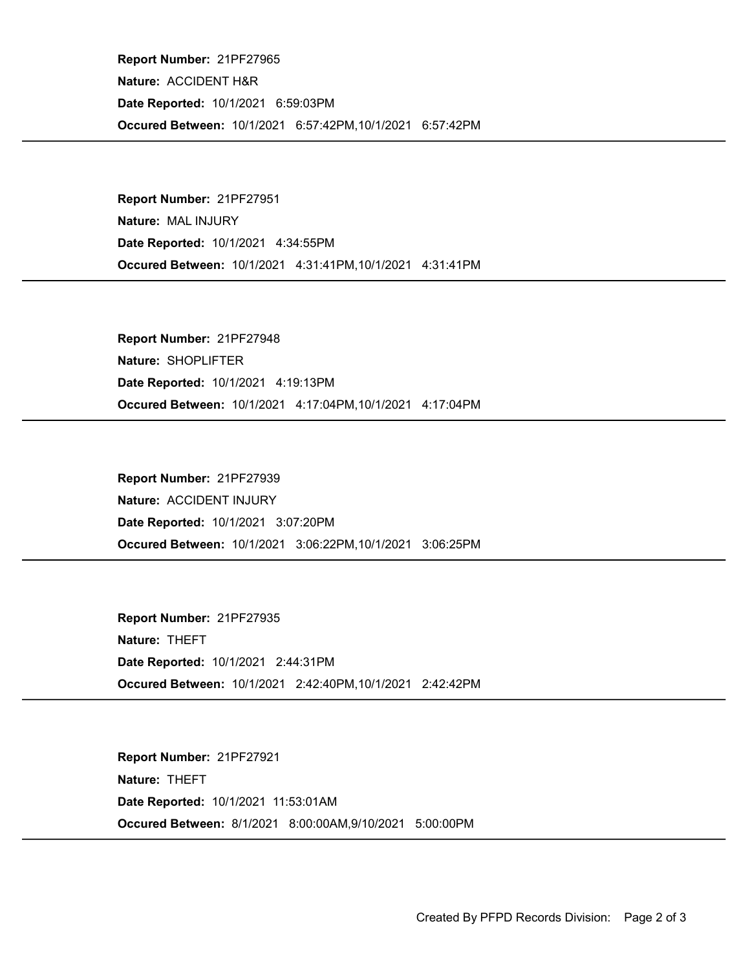Occured Between: 10/1/2021 6:57:42PM,10/1/2021 6:57:42PM Report Number: 21PF27965 Nature: ACCIDENT H&R Date Reported: 10/1/2021 6:59:03PM

Occured Between: 10/1/2021 4:31:41PM,10/1/2021 4:31:41PM Report Number: 21PF27951 Nature: MAL INJURY Date Reported: 10/1/2021 4:34:55PM

Occured Between: 10/1/2021 4:17:04PM,10/1/2021 4:17:04PM Report Number: 21PF27948 Nature: SHOPLIFTER Date Reported: 10/1/2021 4:19:13PM

Occured Between: 10/1/2021 3:06:22PM,10/1/2021 3:06:25PM Report Number: 21PF27939 Nature: ACCIDENT INJURY Date Reported: 10/1/2021 3:07:20PM

Occured Between: 10/1/2021 2:42:40PM,10/1/2021 2:42:42PM Report Number: 21PF27935 Nature: THEFT Date Reported: 10/1/2021 2:44:31PM

Occured Between: 8/1/2021 8:00:00AM,9/10/2021 5:00:00PM Report Number: 21PF27921 Nature: THEFT Date Reported: 10/1/2021 11:53:01AM